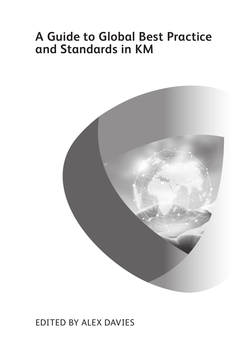# **A Guide to Global Best Practice and Standards in KM**



### Edited by alex daviEs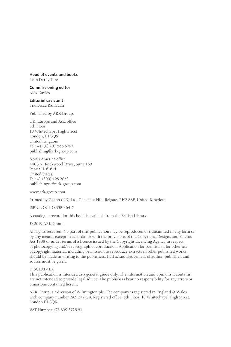#### **Head of events and books**

Leah Darbyshire

**Commissioning editor** Alex Davies

**Editorial assistant** Francesca Ramadan

Published by ARK Group:

UK, Europe and Asia office 5th Floor 10 Whitechapel High Street London, E1 8QS United Kingdom Tel: +44(0) 207 566 5792 publishing@ark-group.com

North America office 4408 N. Rockwood Drive, Suite 150 Peoria IL 61614 United States Tel: +1 (309) 495 2853 publishingna@ark-group.com

www.ark-group.com

Printed by Canon (UK) Ltd, Cockshot Hill, Reigate, RH2 8BF, United Kingdom

ISBN: 978-1-78358-364-5

A catalogue record for this book is available from the British Library

© 2019 ARK Group

All rights reserved. No part of this publication may be reproduced or transmitted in any form or by any means, except in accordance with the provisions of the Copyright, Designs and Patents Act 1988 or under terms of a licence issued by the Copyright Licencing Agency in respect of photocopying and/or reprographic reproduction. Application for permission for other use of copyright material, including permission to reproduce extracts in other published works, should be made in writing to the publishers. Full acknowledgement of author, publisher, and source must be given.

#### DISCLAIMER

This publication is intended as a general guide only. The information and opinions it contains are not intended to provide legal advice. The publishers bear no responsibility for any errors or omissions contained herein.

ARK Group is a division of Wilmington plc. The company is registered in England & Wales with company number 2931372 GB. Registered office: 5th Floor, 10 Whitechapel High Street, London E1 8QS.

VAT Number: GB 899 3725 51.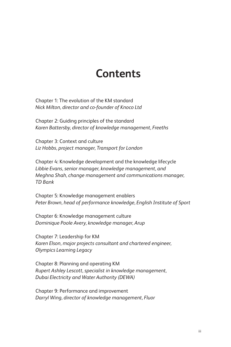## **Contents**

Chapter 1: The evolution of the KM standard *Nick Milton, director and co-founder of Knoco Ltd*

Chapter 2: Guiding principles of the standard *Karen Battersby, director of knowledge management, Freeths*

Chapter 3: Context and culture *Liz Hobbs, project manager, Transport for London*

Chapter 4: Knowledge development and the knowledge lifecycle *Libbie Evans, senior manager, knowledge management, and Meghna Shah, change management and communications manager, TD Bank*

Chapter 5: Knowledge management enablers *Peter Brown, head of performance knowledge, English Institute of Sport*

Chapter 6: Knowledge management culture *Dominique Poole Avery, knowledge manager, Arup*

Chapter 7: Leadership for KM *Karen Elson, major projects consultant and chartered engineer, Olympics Learning Legacy*

Chapter 8: Planning and operating KM *Rupert Ashley Lescott, specialist in knowledge management, Dubai Electricity and Water Authority (DEWA)*

Chapter 9: Performance and improvement *Darryl Wing, director of knowledge management, Fluor*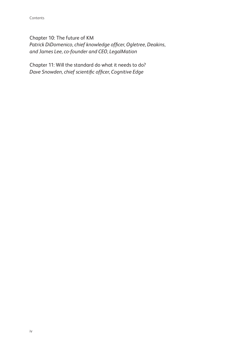Chapter 10: The future of KM *Patrick DiDomenico, chief knowledge officer, Ogletree, Deakins, and James Lee, co-founder and CEO, LegalMation*

Chapter 11: Will the standard do what it needs to do? *Dave Snowden, chief scientific officer, Cognitive Edge*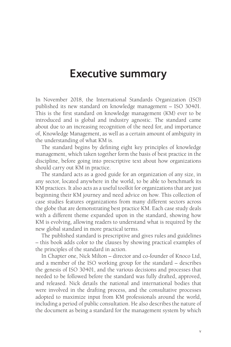### **Executive summary**

In November 2018, the International Standards Organization (ISO) published its new standard on knowledge management – ISO 30401. This is the first standard on knowledge management (KM) ever to be introduced and is global and industry agnostic. The standard came about due to an increasing recognition of the need for, and importance of, Knowledge Management, as well as a certain amount of ambiguity in the understanding of what KM is.

The standard begins by defining eight key principles of knowledge management, which taken together form the basis of best practice in the discipline, before going into prescriptive text about how organizations should carry out KM in practice.

The standard acts as a good guide for an organization of any size, in any sector, located anywhere in the world, to be able to benchmark its KM practices. It also acts as a useful toolkit for organizations that are just beginning their KM journey and need advice on how. This collection of case studies features organizations from many different sectors across the globe that are demonstrating best practice KM. Each case study deals with a different theme expanded upon in the standard, showing how KM is evolving, allowing readers to understand what is required by the new global standard in more practical terms.

The published standard is prescriptive and gives rules and guidelines – this book adds color to the clauses by showing practical examples of the principles of the standard in action.

In Chapter one, Nick Milton – director and co-founder of Knoco Ltd, and a member of the ISO working group for the standard – describes the genesis of ISO 30401, and the various decisions and processes that needed to be followed before the standard was fully drafted, approved, and released. Nick details the national and international bodies that were involved in the drafting process, and the consultative processes adopted to maximize input from KM professionals around the world, including a period of public consultation. He also describes the nature of the document as being a standard for the management system by which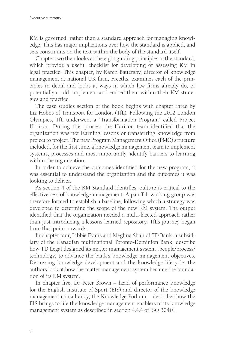KM is governed, rather than a standard approach for managing knowledge. This has major implications over how the standard is applied, and sets constraints on the text within the body of the standard itself.

Chapter two then looks at the eight guiding principles of the standard, which provide a useful checklist for developing or assessing KM in legal practice. This chapter, by Karen Battersby, director of knowledge management at national UK firm, Freeths, examines each of the principles in detail and looks at ways in which law firms already do, or potentially could, implement and embed them within their KM strategies and practice.

The case studies section of the book begins with chapter three by Liz Hobbs of Transport for London (TfL). Following the 2012 London Olympics, TfL underwent a "Transformation Program" called Project Horizon. During this process the Horizon team identified that the organization was not learning lessons or transferring knowledge from project to project. The new Program Management Office (PMO) structure included, for the first time, a knowledge management team to implement systems, processes and most importantly, identify barriers to learning within the organization.

In order to achieve the outcomes identified for the new program, it was essential to understand the organization and the outcomes it was looking to deliver.

As section 4 of the KM Standard identifies, culture is critical to the effectiveness of knowledge management. A pan-TfL working group was therefore formed to establish a baseline, following which a strategy was developed to determine the scope of the new KM system. The output identified that the organization needed a multi-faceted approach rather than just introducing a lessons learned repository. TfL's journey began from that point onwards.

In chapter four, Libbie Evans and Meghna Shah of TD Bank, a subsidiary of the Canadian multinational Toronto-Dominion Bank, describe how TD Legal designed its matter management system (people/process/ technology) to advance the bank's knowledge management objectives. Discussing knowledge development and the knowledge lifecycle, the authors look at how the matter management system became the foundation of its KM system.

In chapter five, Dr Peter Brown – head of performance knowledge for the English Institute of Sport (EIS) and director of the knowledge management consultancy, the Knowledge Podium – describes how the EIS brings to life the knowledge management enablers of its knowledge management system as described in section 4.4.4 of ISO 30401.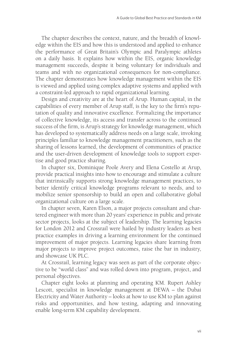The chapter describes the context, nature, and the breadth of knowledge within the EIS and how this is understood and applied to enhance the performance of Great Britain's Olympic and Paralympic athletes on a daily basis. It explains how within the EIS, organic knowledge management succeeds, despite it being voluntary for individuals and teams and with no organizational consequences for non-compliance. The chapter demonstrates how knowledge management within the EIS is viewed and applied using complex adaptive systems and applied with a constraint-led approach to rapid organizational learning.

Design and creativity are at the heart of Arup. Human capital, in the capabilities of every member of Arup staff, is the key to the firm's reputation of quality and innovative excellence. Formalizing the importance of collective knowledge, its access and transfer across to the continued success of the firm, is Arup's strategy for knowledge management, which has developed to systematically address needs on a large scale, invoking principles familiar to knowledge management practitioners, such as the sharing of lessons learned, the development of communities of practice and the user-driven development of knowledge tools to support expertise and good practice sharing.

In chapter six, Dominique Poole Avery and Elena Costello at Arup, provide practical insights into how to encourage and stimulate a culture that intrinsically supports strong knowledge management practices, to better identify critical knowledge programs relevant to needs, and to mobilize senior sponsorship to build an open and collaborative global organizational culture on a large scale.

In chapter seven, Karen Elson, a major projects consultant and chartered engineer with more than 20 years' experience in public and private sector projects, looks at the subject of leadership. The learning legacies for London 2012 and Crossrail were hailed by industry leaders as best practice examples in driving a learning environment for the continued improvement of major projects. Learning legacies share learning from major projects to improve project outcomes, raise the bar in industry, and showcase UK PLC.

At Crossrail, learning legacy was seen as part of the corporate objective to be "world class" and was rolled down into program, project, and personal objectives.

Chapter eight looks at planning and operating KM. Rupert Ashley Lescott, specialist in knowledge management at DEWA – the Dubai Electricity and Water Authority – looks at how to use KM to plan against risks and opportunities, and how testing, adapting and innovating enable long-term KM capability development.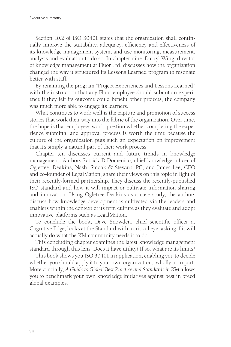Section 10.2 of ISO 30401 states that the organization shall continually improve the suitability, adequacy, efficiency and effectiveness of its knowledge management system, and use monitoring, measurement, analysis and evaluation to do so. In chapter nine, Darryl Wing, director of knowledge management at Fluor Ltd, discusses how the organization changed the way it structured its Lessons Learned program to resonate better with staff.

By renaming the program "Project Experiences and Lessons Learned" with the instruction that any Fluor employee should submit an experience if they felt its outcome could benefit other projects, the company was much more able to engage its learners.

What continues to work well is the capture and promotion of success stories that work their way into the fabric of the organization. Over time, the hope is that employees won't question whether completing the experience submittal and approval process is worth the time because the culture of the organization puts such an expectation on improvement that it's simply a natural part of their work process.

Chapter ten discusses current and future trends in knowledge management. Authors Patrick DiDomenico, chief knowledge officer of Ogletree, Deakins, Nash, Smoak & Stewart, PC, and James Lee, CEO and co-founder of LegalMation, share their views on this topic in light of their recently-formed partnership. They discuss the recently-published ISO standard and how it will impact or cultivate information sharing and innovation. Using Ogletree Deakins as a case study, the authors discuss how knowledge development is cultivated via the leaders and enablers within the context of its firm culture as they evaluate and adopt innovative platforms such as LegalMation.

To conclude the book, Dave Snowden, chief scientific officer at Cognitive Edge, looks at the Standard with a critical eye, asking if it will actually do what the KM community needs it to do.

This concluding chapter examines the latest knowledge management standard through this lens. Does it have utility? If so, what are its limits?

This book shows you ISO 30401 in application, enabling you to decide whether you should apply it to your own organization, wholly or in part. More crucially, *A Guide to Global Best Practice and Standards in KM* allows you to benchmark your own knowledge initiatives against best in breed global examples.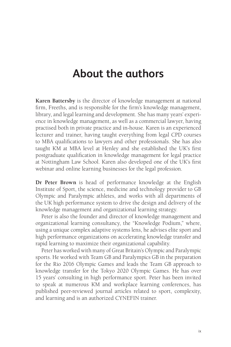### **About the authors**

**Karen Battersby** is the director of knowledge management at national firm, Freeths, and is responsible for the firm's knowledge management, library, and legal learning and development. She has many years' experience in knowledge management, as well as a commercial lawyer, having practised both in private practice and in-house. Karen is an experienced lecturer and trainer, having taught everything from legal CPD courses to MBA qualifications to lawyers and other professionals. She has also taught KM at MBA level at Henley and she established the UK's first postgraduate qualification in knowledge management for legal practice at Nottingham Law School. Karen also developed one of the UK's first webinar and online learning businesses for the legal profession.

**Dr Peter Brown** is head of performance knowledge at the English Institute of Sport, the science, medicine and technology provider to GB Olympic and Paralympic athletes, and works with all departments of the UK high performance system to drive the design and delivery of the knowledge management and organizational learning strategy.

Peter is also the founder and director of knowledge management and organizational learning consultancy, the "Knowledge Podium," where, using a unique complex adaptive systems lens, he advises elite sport and high performance organizations on accelerating knowledge transfer and rapid learning to maximize their organizational capability.

Peter has worked with many of Great Britain's Olympic and Paralympic sports. He worked with Team GB and Paralympics GB in the preparation for the Rio 2016 Olympic Games and leads the Team GB approach to knowledge transfer for the Tokyo 2020 Olympic Games. He has over 15 years' consulting in high performance sport. Peter has been invited to speak at numerous KM and workplace learning conferences, has published peer-reviewed journal articles related to sport, complexity, and learning and is an authorized CYNEFIN trainer.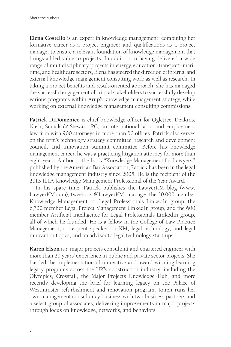**Elena Costello** is an expert in knowledge management; combining her formative career as a project engineer and qualifications as a project manager to ensure a relevant foundation of knowledge management that brings added value to projects. In addition to having delivered a wide range of multidisciplinary projects in energy, education, transport, maritime, and healthcare sectors, Elena has steered the direction of internal and external knowledge management consulting work as well as research. In taking a project benefits and result-oriented approach, she has managed the successful engagement of critical stakeholders to successfully develop various programs within Arup's knowledge management strategy, while working on external knowledge management consulting commissions.

**Patrick DiDomenico** is chief knowledge officer for Ogletree, Deakins, Nash, Smoak & Stewart, PC, an international labor and employment law firm with 900 attorneys in more than 50 offices. Patrick also serves on the firm's technology strategy committee, research and development council, and innovation summit committee. Before his knowledge management career, he was a practicing litigation attorney for more than eight years. Author of the book "Knowledge Management for Lawyers," published by the American Bar Association, Patrick has been in the legal knowledge management industry since 2005. He is the recipient of the 2013 ILTA Knowledge Management Professional of the Year Award.

In his spare time, Patrick publishes the LawyerKM blog (www. LawyerKM.com), tweets as @LawyerKM, manages the 10,000 member Knowledge Management for Legal Professionals LinkedIn group, the 6,700 member Legal Project Management LinkedIn group, and the 600 member Artificial Intelligence for Legal Professionals LinkedIn group, all of which he founded. He is a fellow in the College of Law Practice Management, a frequent speaker on KM, legal technology, and legal innovation topics, and an advisor to legal technology start-ups.

**Karen Elson** is a major projects consultant and chartered engineer with more than 20 years' experience in public and private sector projects. She has led the implementation of innovative and award winning learning legacy programs across the UK's construction industry, including the Olympics, Crossrail, the Major Projects Knowledge Hub, and more recently developing the brief for learning legacy on the Palace of Westminster refurbishment and renovation program. Karen runs her own management consultancy business with two business partners and a select group of associates, delivering improvements in major projects through focus on knowledge, networks, and behaviors.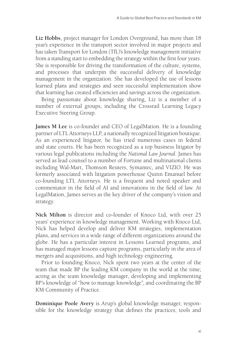**Liz Hobbs**, project manager for London Overground, has more than 18 year's experience in the transport sector involved in major projects and has taken Transport for London (TfL)'s knowledge management initiative from a standing start to embedding the strategy within the first four years. She is responsible for driving the transformation of the culture, systems, and processes that underpin the successful delivery of knowledge management in the organization. She has developed the use of lessons learned plans and strategies and seen successful implementation show that learning has created efficiencies and savings across the organization.

Being passionate about knowledge sharing, Liz is a member of a number of external groups, including the Crossrail Learning Legacy Executive Steering Group.

**James M Lee** is co-founder and CEO of LegalMation. He is a founding partner of LTL Attorneys LLP, a nationally recognized litigation boutique. As an experienced litigator, he has tried numerous cases in federal and state courts. He has been recognized as a top business litigator by various legal publications including the *National Law Journal*. James has served as lead counsel to a number of Fortune and multinational clients including Wal-Mart, Thomson Reuters, Symantec, and VIZIO. He was formerly associated with litigation powerhouse Quinn Emanuel before co-founding LTL Attorneys. He is a frequent and noted speaker and commentator in the field of AI and innovations in the field of law. At LegalMation, James serves as the key driver of the company's vision and strategy.

**Nick Milton** is director and co-founder of Knoco Ltd, with over 25 years' experience in knowledge management. Working with Knoco Ltd, Nick has helped develop and deliver KM strategies, implementation plans, and services in a wide range of different organizations around the globe. He has a particular interest in Lessons Learned programs, and has managed major lessons capture programs, particularly in the area of mergers and acquisitions, and high technology engineering.

Prior to founding Knoco, Nick spent two years at the center of the team that made BP the leading KM company in the world at the time; acting as the team knowledge manager, developing and implementing BP's knowledge of "how to manage knowledge", and coordinating the BP KM Community of Practice.

**Dominique Poole Avery** is Arup's global knowledge manager, responsible for the knowledge strategy that defines the practices, tools and